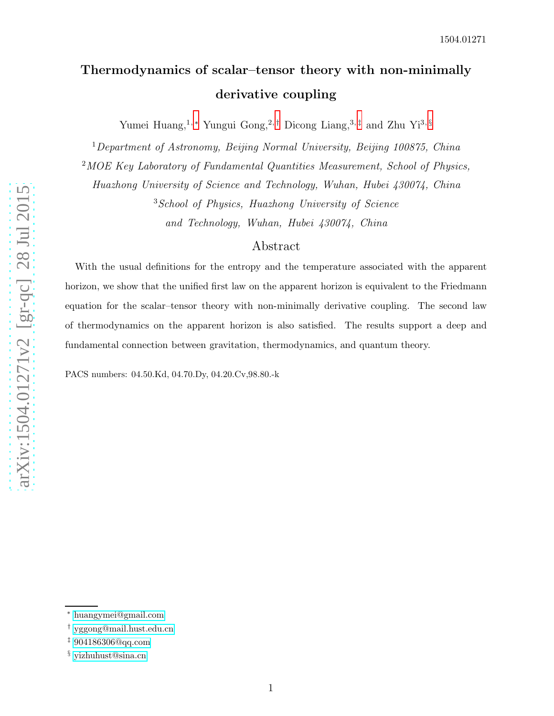# Thermodynamics of scalar–tensor theory with non-minimall y derivative coupling

Yumei Huang,<sup>1,[∗](#page-0-0)</sup> Yungui Gong,<sup>2,[†](#page-0-1)</sup> Dicong Liang,<sup>3,[‡](#page-0-2)</sup> and Zhu Yi<sup>3,[§](#page-0-3)</sup>

<sup>1</sup>Department of Astronomy, Beijing Normal University, Beijing 100875, China

<sup>2</sup>MOE Key Laboratory of Fundamental Quantities Measurement, School of Physics,

Huazhong University of Science and Technology, Wuhan, Hubei 430074, China

<sup>3</sup>School of Physics, Huazhong University of Science

and Technology, Wuhan, Hubei 430074, China

### Abstract

With the usual definitions for the entropy and the temperature associated with the apparent horizon, we show that the unified first law on the apparent horizon is equivalent to the Friedmann equation for the scalar–tensor theory with non-minimally derivative coupling. The second law of thermodynamics on the apparent horizon is also satisfied. The results support a deep and fundamental connection between gravitation, thermodynamics, and quantum theory.

PACS numbers: 04.50.Kd, 04.70.Dy, 04.20.Cv,98.80.-k

<span id="page-0-1"></span><span id="page-0-0"></span><sup>∗</sup> [huangymei@gmail.com](mailto:huangymei@gmail.com)

<span id="page-0-2"></span><sup>†</sup> [yggong@mail.hust.edu.cn](mailto:yggong@mail.hust.edu.cn)

<span id="page-0-3"></span><sup>‡</sup> [904186306@qq.com](mailto:904186306@qq.com)

<sup>§</sup> [yizhuhust@sina.cn](mailto:yizhuhust@sina.cn)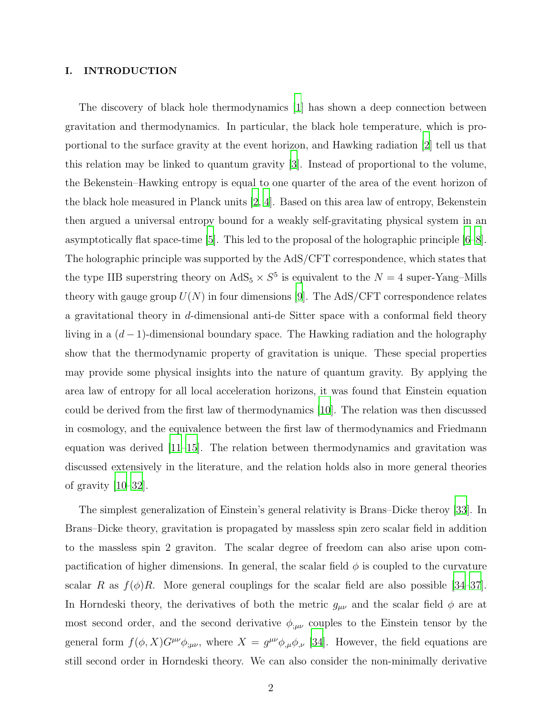### I. INTRODUCTION

The discovery of black hole thermodynamics [\[1\]](#page-7-0) has shown a deep connection between gravitation and thermodynamics. In particular, the black hole temperature, which is proportional to the surface gravity at the event horizon, and Hawking radiation [\[2\]](#page-7-1) tell us that this relation may be linked to quantum gravity [\[3](#page-7-2)]. Instead of proportional to the volume, the Bekenstein–Hawking entropy is equal to one quarter of the area of the event horizon of the black hole measured in Planck units [\[2,](#page-7-1) [4\]](#page-7-3). Based on this area law of entropy, Bekenstein then argued a universal entropy bound for a weakly self-gravitating physical system in an asymptotically flat space-time [\[5\]](#page-7-4). This led to the proposal of the holographic principle [\[6](#page-7-5)[–8\]](#page-7-6). The holographic principle was supported by the AdS/CFT correspondence, which states that the type IIB superstring theory on  $AdS_5 \times S^5$  is equivalent to the  $N = 4$  super-Yang-Mills theory with gauge group  $U(N)$  in four dimensions [\[9](#page-7-7)]. The AdS/CFT correspondence relates a gravitational theory in d-dimensional anti-de Sitter space with a conformal field theory living in a  $(d-1)$ -dimensional boundary space. The Hawking radiation and the holography show that the thermodynamic property of gravitation is unique. These special properties may provide some physical insights into the nature of quantum gravity. By applying the area law of entropy for all local acceleration horizons, it was found that Einstein equation could be derived from the first law of thermodynamics [\[10\]](#page-7-8). The relation was then discussed in cosmology, and the equivalence between the first law of thermodynamics and Friedmann equation was derived [\[11](#page-7-9)[–15](#page-7-10)]. The relation between thermodynamics and gravitation was discussed extensively in the literature, and the relation holds also in more general theories of gravity [\[10](#page-7-8)[–32\]](#page-8-0).

The simplest generalization of Einstein's general relativity is Brans–Dicke theroy [\[33\]](#page-8-1). In Brans–Dicke theory, gravitation is propagated by massless spin zero scalar field in addition to the massless spin 2 graviton. The scalar degree of freedom can also arise upon compactification of higher dimensions. In general, the scalar field  $\phi$  is coupled to the curvature scalar R as  $f(\phi)R$ . More general couplings for the scalar field are also possible [\[34](#page-8-2)[–37\]](#page-8-3). In Horndeski theory, the derivatives of both the metric  $g_{\mu\nu}$  and the scalar field  $\phi$  are at most second order, and the second derivative  $\phi_{;\mu\nu}$  couples to the Einstein tensor by the general form  $f(\phi, X)G^{\mu\nu}\phi_{;\mu\nu}$ , where  $X = g^{\mu\nu}\phi_{,\mu}\phi_{,\nu}$  [\[34\]](#page-8-2). However, the field equations are still second order in Horndeski theory. We can also consider the non-minimally derivative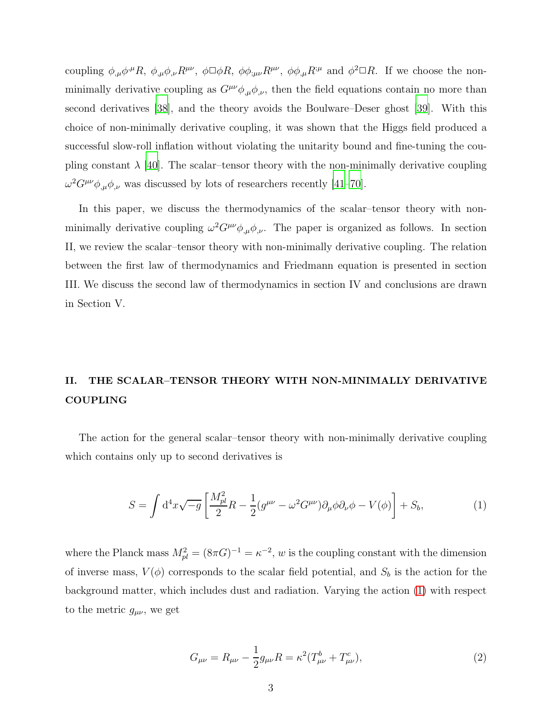coupling  $\phi_{,\mu}\phi^{,\mu}R$ ,  $\phi_{,\mu}\phi_{,\nu}R^{\mu\nu}$ ,  $\phi\Box\phi R$ ,  $\phi\phi_{,\mu\nu}R^{\mu\nu}$ ,  $\phi\phi_{,\mu}R^{\mu\nu}$  and  $\phi^2\Box R$ . If we choose the nonminimally derivative coupling as  $G^{\mu\nu}\phi_{,\mu}\phi_{,\nu}$ , then the field equations contain no more than second derivatives [\[38](#page-8-4)], and the theory avoids the Boulware–Deser ghost [\[39\]](#page-8-5). With this choice of non-minimally derivative coupling, it was shown that the Higgs field produced a successful slow-roll inflation without violating the unitarity bound and fine-tuning the coupling constant  $\lambda$  [\[40](#page-8-6)]. The scalar–tensor theory with the non-minimally derivative coupling  $\omega^2 G^{\mu\nu} \phi_{,\mu} \phi_{,\nu}$  was discussed by lots of researchers recently [\[41](#page-9-0)[–70\]](#page-10-0).

In this paper, we discuss the thermodynamics of the scalar–tensor theory with nonminimally derivative coupling  $\omega^2 G^{\mu\nu}\phi_{,\mu}\phi_{,\nu}$ . The paper is organized as follows. In section II, we review the scalar–tensor theory with non-minimally derivative coupling. The relation between the first law of thermodynamics and Friedmann equation is presented in section III. We discuss the second law of thermodynamics in section IV and conclusions are drawn in Section V.

# II. THE SCALAR–TENSOR THEORY WITH NON-MINIMALLY DERIVATIVE COUPLING

The action for the general scalar–tensor theory with non-minimally derivative coupling which contains only up to second derivatives is

<span id="page-2-0"></span>
$$
S = \int d^4x \sqrt{-g} \left[ \frac{M_{pl}^2}{2} R - \frac{1}{2} (g^{\mu\nu} - \omega^2 G^{\mu\nu}) \partial_\mu \phi \partial_\nu \phi - V(\phi) \right] + S_b,
$$
 (1)

where the Planck mass  $M_{pl}^2 = (8\pi G)^{-1} = \kappa^{-2}$ , w is the coupling constant with the dimension of inverse mass,  $V(\phi)$  corresponds to the scalar field potential, and  $S_b$  is the action for the background matter, which includes dust and radiation. Varying the action [\(1\)](#page-2-0) with respect to the metric  $g_{\mu\nu}$ , we get

$$
G_{\mu\nu} = R_{\mu\nu} - \frac{1}{2}g_{\mu\nu}R = \kappa^2 (T_{\mu\nu}^b + T_{\mu\nu}^c),
$$
\n(2)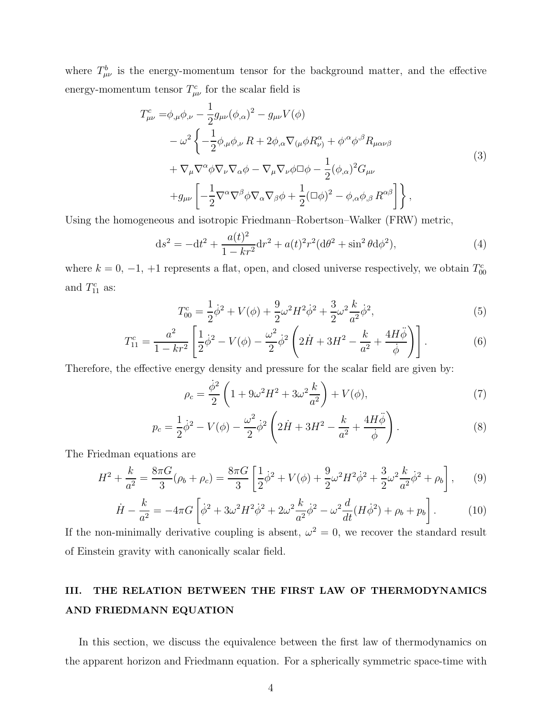where  $T^b_{\mu\nu}$  is the energy-momentum tensor for the background matter, and the effective energy-momentum tensor  $T_{\mu\nu}^c$  for the scalar field is

$$
T_{\mu\nu}^{c} = \phi_{,\mu}\phi_{,\nu} - \frac{1}{2}g_{\mu\nu}(\phi_{,\alpha})^{2} - g_{\mu\nu}V(\phi)
$$
  
\n
$$
- \omega^{2}\left\{-\frac{1}{2}\phi_{,\mu}\phi_{,\nu} R + 2\phi_{,\alpha}\nabla_{(\mu}\phi R_{\nu)}^{\alpha} + \phi^{\alpha}\phi^{\beta}R_{\mu\alpha\nu\beta}\right\}
$$
  
\n
$$
+ \nabla_{\mu}\nabla^{\alpha}\phi\nabla_{\nu}\nabla_{\alpha}\phi - \nabla_{\mu}\nabla_{\nu}\phi\Box\phi - \frac{1}{2}(\phi_{,\alpha})^{2}G_{\mu\nu}
$$
  
\n
$$
+ g_{\mu\nu}\left[-\frac{1}{2}\nabla^{\alpha}\nabla^{\beta}\phi\nabla_{\alpha}\nabla_{\beta}\phi + \frac{1}{2}(\Box\phi)^{2} - \phi_{,\alpha}\phi_{,\beta} R^{\alpha\beta}\right]\right\},
$$
\n(3)

Using the homogeneous and isotropic Friedmann–Robertson–Walker (FRW) metric,

<span id="page-3-0"></span>
$$
ds^{2} = -dt^{2} + \frac{a(t)^{2}}{1 - kr^{2}}dr^{2} + a(t)^{2}r^{2}(d\theta^{2} + \sin^{2}\theta d\phi^{2}),
$$
\n(4)

where  $k = 0, -1, +1$  represents a flat, open, and closed universe respectively, we obtain  $T_{00}^c$ and  $T_{11}^c$  as:

$$
T_{00}^{c} = \frac{1}{2}\dot{\phi}^{2} + V(\phi) + \frac{9}{2}\omega^{2}H^{2}\dot{\phi}^{2} + \frac{3}{2}\omega^{2}\frac{k}{a^{2}}\dot{\phi}^{2},
$$
\n(5)

$$
T_{11}^{c} = \frac{a^{2}}{1 - kr^{2}} \left[ \frac{1}{2} \dot{\phi}^{2} - V(\phi) - \frac{\omega^{2}}{2} \dot{\phi}^{2} \left( 2\dot{H} + 3H^{2} - \frac{k}{a^{2}} + \frac{4H\ddot{\phi}}{\dot{\phi}} \right) \right].
$$
 (6)

Therefore, the effective energy density and pressure for the scalar field are given by:

$$
\rho_c = \frac{\dot{\phi}^2}{2} \left( 1 + 9\omega^2 H^2 + 3\omega^2 \frac{k}{a^2} \right) + V(\phi),\tag{7}
$$

$$
p_c = \frac{1}{2}\dot{\phi}^2 - V(\phi) - \frac{\omega^2}{2}\dot{\phi}^2 \left(2\dot{H} + 3H^2 - \frac{k}{a^2} + \frac{4H\ddot{\phi}}{\dot{\phi}}\right).
$$
 (8)

The Friedman equations are

<span id="page-3-2"></span>
$$
H^2 + \frac{k}{a^2} = \frac{8\pi G}{3}(\rho_b + \rho_c) = \frac{8\pi G}{3} \left[ \frac{1}{2}\dot{\phi}^2 + V(\phi) + \frac{9}{2}\omega^2 H^2 \dot{\phi}^2 + \frac{3}{2}\omega^2 \frac{k}{a^2}\dot{\phi}^2 + \rho_b \right],\tag{9}
$$

<span id="page-3-1"></span>
$$
\dot{H} - \frac{k}{a^2} = -4\pi G \left[ \dot{\phi}^2 + 3\omega^2 H^2 \dot{\phi}^2 + 2\omega^2 \frac{k}{a^2} \dot{\phi}^2 - \omega^2 \frac{d}{dt} (H \dot{\phi}^2) + \rho_b + p_b \right].
$$
 (10)

If the non-minimally derivative coupling is absent,  $\omega^2 = 0$ , we recover the standard result of Einstein gravity with canonically scalar field.

### III. THE RELATION BETWEEN THE FIRST LAW OF THERMODYNAMICS AND FRIEDMANN EQUATION

In this section, we discuss the equivalence between the first law of thermodynamics on the apparent horizon and Friedmann equation. For a spherically symmetric space-time with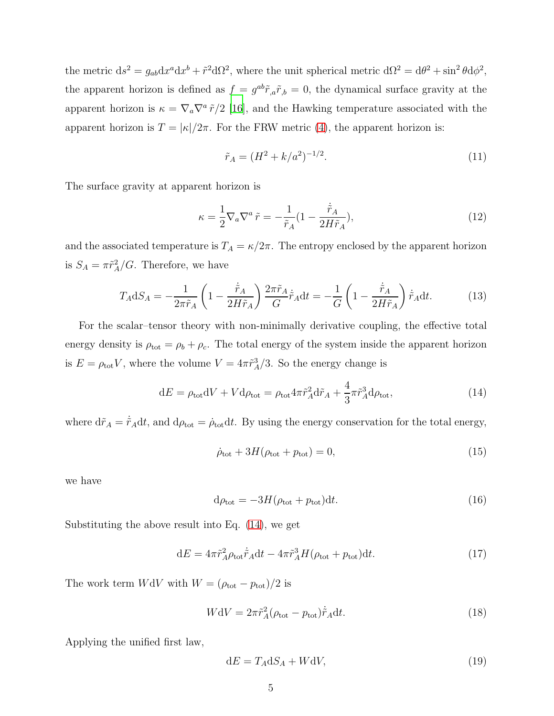the metric  $ds^2 = g_{ab} dx^a dx^b + \tilde{r}^2 d\Omega^2$ , where the unit spherical metric  $d\Omega^2 = d\theta^2 + \sin^2 \theta d\phi^2$ , the apparent horizon is defined as  $f = g^{ab}\tilde{r}_{,a}\tilde{r}_{,b} = 0$ , the dynamical surface gravity at the apparent horizon is  $\kappa = \nabla_a \nabla^a \tilde{r}/2$  [\[16](#page-7-11)], and the Hawking temperature associated with the apparent horizon is  $T = |\kappa|/2\pi$ . For the FRW metric [\(4\)](#page-3-0), the apparent horizon is:

<span id="page-4-1"></span>
$$
\tilde{r}_A = (H^2 + k/a^2)^{-1/2}.\tag{11}
$$

The surface gravity at apparent horizon is

$$
\kappa = \frac{1}{2} \nabla_a \nabla^a \tilde{r} = -\frac{1}{\tilde{r}_A} (1 - \frac{\dot{\tilde{r}}_A}{2H\tilde{r}_A}),\tag{12}
$$

and the associated temperature is  $T_A = \kappa/2\pi$ . The entropy enclosed by the apparent horizon is  $S_A = \pi \tilde{r}_A^2 / G$ . Therefore, we have

$$
T_{A}dS_{A} = -\frac{1}{2\pi\tilde{r}_{A}} \left( 1 - \frac{\dot{\tilde{r}}_{A}}{2H\tilde{r}_{A}} \right) \frac{2\pi\tilde{r}_{A}}{G} \dot{\tilde{r}}_{A} dt = -\frac{1}{G} \left( 1 - \frac{\dot{\tilde{r}}_{A}}{2H\tilde{r}_{A}} \right) \dot{\tilde{r}}_{A} dt. \tag{13}
$$

For the scalar–tensor theory with non-minimally derivative coupling, the effective total energy density is  $\rho_{\text{tot}} = \rho_b + \rho_c$ . The total energy of the system inside the apparent horizon is  $E = \rho_{\text{tot}} V$ , where the volume  $V = 4\pi \tilde{r}_A^3/3$ . So the energy change is

<span id="page-4-0"></span>
$$
dE = \rho_{\text{tot}} dV + V d\rho_{\text{tot}} = \rho_{\text{tot}} 4\pi \tilde{r}_A^2 d\tilde{r}_A + \frac{4}{3} \pi \tilde{r}_A^3 d\rho_{\text{tot}},\tag{14}
$$

where  $d\tilde{r}_A = \dot{\tilde{r}}_A dt$ , and  $d\rho_{\text{tot}} = \dot{\rho}_{\text{tot}} dt$ . By using the energy conservation for the total energy,

<span id="page-4-2"></span>
$$
\dot{\rho}_{\text{tot}} + 3H(\rho_{\text{tot}} + p_{\text{tot}}) = 0,\tag{15}
$$

we have

$$
d\rho_{\rm tot} = -3H(\rho_{\rm tot} + p_{\rm tot})dt.
$$
\n(16)

Substituting the above result into Eq. [\(14\)](#page-4-0), we get

$$
dE = 4\pi \tilde{r}_A^2 \rho_{\text{tot}} \dot{\tilde{r}}_A dt - 4\pi \tilde{r}_A^3 H (\rho_{\text{tot}} + p_{\text{tot}}) dt. \tag{17}
$$

The work term  $WdV$  with  $W = (\rho_{\rm tot} - p_{\rm tot})/2$  is

<span id="page-4-3"></span>
$$
WdV = 2\pi \tilde{r}_A^2 (\rho_{\text{tot}} - p_{\text{tot}}) \dot{\tilde{r}}_A dt.
$$
\n(18)

Applying the unified first law,

$$
dE = T_A dS_A + WdV, \t\t(19)
$$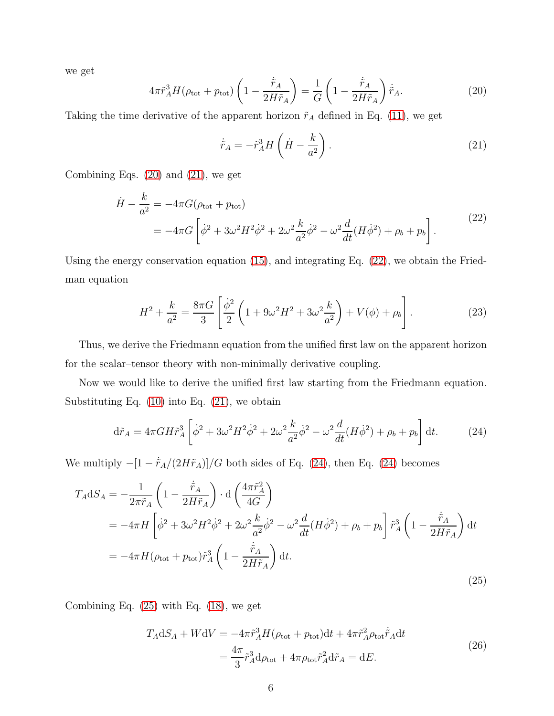we get

<span id="page-5-0"></span>
$$
4\pi \tilde{r}_A^3 H(\rho_{\text{tot}} + p_{\text{tot}}) \left( 1 - \frac{\dot{\tilde{r}}_A}{2H\tilde{r}_A} \right) = \frac{1}{G} \left( 1 - \frac{\dot{\tilde{r}}_A}{2H\tilde{r}_A} \right) \dot{\tilde{r}}_A.
$$
 (20)

Taking the time derivative of the apparent horizon  $\tilde{r}_A$  defined in Eq. [\(11\)](#page-4-1), we get

<span id="page-5-1"></span>
$$
\dot{\tilde{r}}_A = -\tilde{r}_A^3 H \left( \dot{H} - \frac{k}{a^2} \right). \tag{21}
$$

<span id="page-5-2"></span>Combining Eqs. [\(20\)](#page-5-0) and [\(21\)](#page-5-1), we get

$$
\dot{H} - \frac{k}{a^2} = -4\pi G(\rho_{\text{tot}} + p_{\text{tot}})
$$
  
= 
$$
-4\pi G \left[ \dot{\phi}^2 + 3\omega^2 H^2 \dot{\phi}^2 + 2\omega^2 \frac{k}{a^2} \dot{\phi}^2 - \omega^2 \frac{d}{dt} (H \dot{\phi}^2) + \rho_b + p_b \right].
$$
 (22)

Using the energy conservation equation [\(15\)](#page-4-2), and integrating Eq. [\(22\)](#page-5-2), we obtain the Friedman equation

$$
H^{2} + \frac{k}{a^{2}} = \frac{8\pi G}{3} \left[ \frac{\dot{\phi}^{2}}{2} \left( 1 + 9\omega^{2} H^{2} + 3\omega^{2} \frac{k}{a^{2}} \right) + V(\phi) + \rho_{b} \right].
$$
 (23)

Thus, we derive the Friedmann equation from the unified first law on the apparent horizon for the scalar–tensor theory with non-minimally derivative coupling.

Now we would like to derive the unified first law starting from the Friedmann equation. Substituting Eq. [\(10\)](#page-3-1) into Eq. [\(21\)](#page-5-1), we obtain

<span id="page-5-3"></span>
$$
d\tilde{r}_A = 4\pi G H \tilde{r}_A^3 \left[ \dot{\phi}^2 + 3\omega^2 H^2 \dot{\phi}^2 + 2\omega^2 \frac{k}{a^2} \dot{\phi}^2 - \omega^2 \frac{d}{dt} (H \dot{\phi}^2) + \rho_b + p_b \right] dt. \tag{24}
$$

We multiply  $-[1 - \dot{\tilde{r}}_A/(2H\tilde{r}_A)]/G$  both sides of Eq. [\(24\)](#page-5-3), then Eq. (24) becomes

<span id="page-5-4"></span>
$$
T_{A}dS_{A} = -\frac{1}{2\pi\tilde{r}_{A}} \left( 1 - \frac{\dot{\tilde{r}}_{A}}{2H\tilde{r}_{A}} \right) \cdot d \left( \frac{4\pi\tilde{r}_{A}^{2}}{4G} \right)
$$
  
=  $-4\pi H \left[ \dot{\phi}^{2} + 3\omega^{2}H^{2}\dot{\phi}^{2} + 2\omega^{2}\frac{k}{a^{2}}\dot{\phi}^{2} - \omega^{2}\frac{d}{dt}(H\dot{\phi}^{2}) + \rho_{b} + p_{b} \right] \tilde{r}_{A}^{3} \left( 1 - \frac{\tilde{r}_{A}}{2H\tilde{r}_{A}} \right) dt$   
=  $-4\pi H (\rho_{\text{tot}} + p_{\text{tot}}) \tilde{r}_{A}^{3} \left( 1 - \frac{\dot{\tilde{r}}_{A}}{2H\tilde{r}_{A}} \right) dt.$  (25)

Combining Eq. [\(25\)](#page-5-4) with Eq. [\(18\)](#page-4-3), we get

$$
T_A dS_A + WdV = -4\pi \tilde{r}_A^3 H(\rho_{\text{tot}} + p_{\text{tot}})dt + 4\pi \tilde{r}_A^2 \rho_{\text{tot}} \dot{\tilde{r}}_A dt
$$
  
= 
$$
\frac{4\pi}{3} \tilde{r}_A^3 d\rho_{\text{tot}} + 4\pi \rho_{\text{tot}} \tilde{r}_A^2 d\tilde{r}_A = dE.
$$
 (26)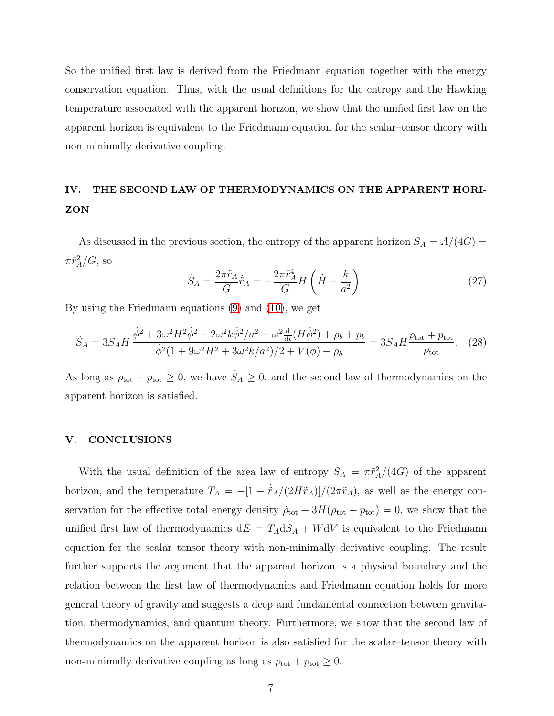So the unified first law is derived from the Friedmann equation together with the energy conservation equation. Thus, with the usual definitions for the entropy and the Hawking temperature associated with the apparent horizon, we show that the unified first law on the apparent horizon is equivalent to the Friedmann equation for the scalar–tensor theory with non-minimally derivative coupling.

## IV. THE SECOND LAW OF THERMODYNAMICS ON THE APPARENT HORI-ZON

As discussed in the previous section, the entropy of the apparent horizon  $S_A = A/(4G)$  $\pi \tilde{r}_A^2/G$ , so

$$
\dot{S}_A = \frac{2\pi \tilde{r}_A}{G} \dot{\tilde{r}}_A = -\frac{2\pi \tilde{r}_A^4}{G} H\left(\dot{H} - \frac{k}{a^2}\right). \tag{27}
$$

By using the Friedmann equations [\(9\)](#page-3-2) and [\(10\)](#page-3-1), we get

$$
\dot{S}_A = 3S_A H \frac{\dot{\phi}^2 + 3\omega^2 H^2 \dot{\phi}^2 + 2\omega^2 k \dot{\phi}^2 / a^2 - \omega^2 \frac{d}{dt} (H \dot{\phi}^2) + \rho_b + p_b}{\dot{\phi}^2 (1 + 9\omega^2 H^2 + 3\omega^2 k / a^2) / 2 + V(\phi) + \rho_b} = 3S_A H \frac{\rho_{\text{tot}} + p_{\text{tot}}}{\rho_{\text{tot}}}.
$$
 (28)

As long as  $\rho_{\text{tot}} + p_{\text{tot}} \ge 0$ , we have  $\dot{S}_A \ge 0$ , and the second law of thermodynamics on the apparent horizon is satisfied.

### V. CONCLUSIONS

With the usual definition of the area law of entropy  $S_A = \pi \tilde{r}_A^2/(4G)$  of the apparent horizon, and the temperature  $T_A = -[1 - \dot{\tilde{r}}_A/(2H\tilde{r}_A)]/(2\pi\tilde{r}_A)$ , as well as the energy conservation for the effective total energy density  $\dot{\rho}_{\text{tot}} + 3H(\rho_{\text{tot}} + p_{\text{tot}}) = 0$ , we show that the unified first law of thermodynamics  $dE = T_A dS_A + W dV$  is equivalent to the Friedmann equation for the scalar–tensor theory with non-minimally derivative coupling. The result further supports the argument that the apparent horizon is a physical boundary and the relation between the first law of thermodynamics and Friedmann equation holds for more general theory of gravity and suggests a deep and fundamental connection between gravitation, thermodynamics, and quantum theory. Furthermore, we show that the second law of thermodynamics on the apparent horizon is also satisfied for the scalar–tensor theory with non-minimally derivative coupling as long as  $\rho_{\text{tot}} + p_{\text{tot}} \geq 0$ .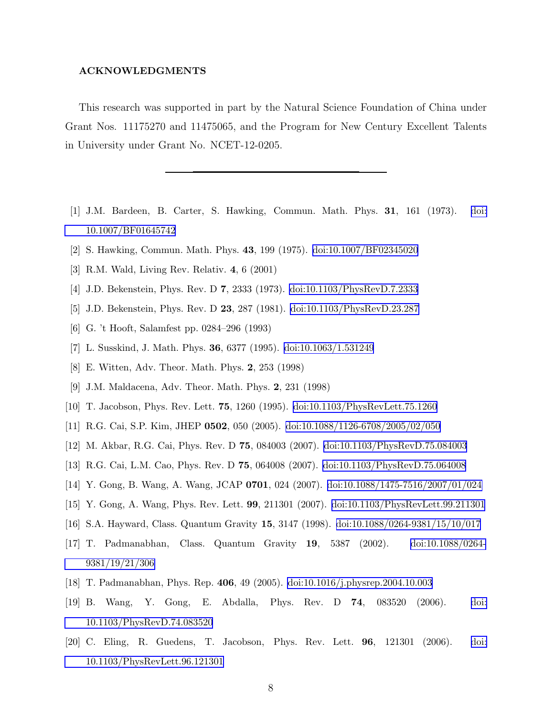### ACKNOWLEDGMENTS

This research was supported in part by the Natural Science Foundation of China under Grant Nos. 11175270 and 11475065, and the Program for New Century Excellent Talents in University under Grant No. NCET-12-0205.

- <span id="page-7-0"></span>[1] J.M. Bardeen, B. Carter, S. Hawking, Commun. Math. Phys. 31, 161 (1973). [doi:](http://dx.doi.org/10.1007/BF01645742) [10.1007/BF01645742](http://dx.doi.org/10.1007/BF01645742)
- <span id="page-7-1"></span>[2] S. Hawking, Commun. Math. Phys. 43, 199 (1975). [doi:10.1007/BF02345020](http://dx.doi.org/10.1007/BF02345020)
- <span id="page-7-3"></span><span id="page-7-2"></span>[3] R.M. Wald, Living Rev. Relativ. 4, 6 (2001)
- <span id="page-7-4"></span>[4] J.D. Bekenstein, Phys. Rev. D 7, 2333 (1973). [doi:10.1103/PhysRevD.7.2333](http://dx.doi.org/10.1103/PhysRevD.7.2333)
- [5] J.D. Bekenstein, Phys. Rev. D 23, 287 (1981). [doi:10.1103/PhysRevD.23.287](http://dx.doi.org/10.1103/PhysRevD.23.287)
- <span id="page-7-5"></span>[6] G. 't Hooft, Salamfest pp. 0284–296 (1993)
- [7] L. Susskind, J. Math. Phys. 36, 6377 (1995). [doi:10.1063/1.531249](http://dx.doi.org/10.1063/1.531249)
- <span id="page-7-6"></span>[8] E. Witten, Adv. Theor. Math. Phys. 2, 253 (1998)
- <span id="page-7-7"></span>[9] J.M. Maldacena, Adv. Theor. Math. Phys. 2, 231 (1998)
- <span id="page-7-8"></span>[10] T. Jacobson, Phys. Rev. Lett. 75, 1260 (1995). [doi:10.1103/PhysRevLett.75.1260](http://dx.doi.org/10.1103/PhysRevLett.75.1260)
- <span id="page-7-9"></span>[11] R.G. Cai, S.P. Kim, JHEP 0502, 050 (2005). [doi:10.1088/1126-6708/2005/02/050](http://dx.doi.org/10.1088/1126-6708/2005/02/050)
- [12] M. Akbar, R.G. Cai, Phys. Rev. D 75, 084003 (2007). [doi:10.1103/PhysRevD.75.084003](http://dx.doi.org/10.1103/PhysRevD.75.084003)
- [13] R.G. Cai, L.M. Cao, Phys. Rev. D 75, 064008 (2007). [doi:10.1103/PhysRevD.75.064008](http://dx.doi.org/10.1103/PhysRevD.75.064008)
- [14] Y. Gong, B. Wang, A. Wang, JCAP 0701, 024 (2007). [doi:10.1088/1475-7516/2007/01/024](http://dx.doi.org/10.1088/1475-7516/2007/01/024)
- <span id="page-7-10"></span>[15] Y. Gong, A. Wang, Phys. Rev. Lett. 99, 211301 (2007). [doi:10.1103/PhysRevLett.99.211301](http://dx.doi.org/10.1103/PhysRevLett.99.211301)
- <span id="page-7-11"></span>[16] S.A. Hayward, Class. Quantum Gravity 15, 3147 (1998). [doi:10.1088/0264-9381/15/10/017](http://dx.doi.org/10.1088/0264-9381/15/10/017)
- [17] T. Padmanabhan, Class. Quantum Gravity 19, 5387 (2002). [doi:10.1088/0264-](http://dx.doi.org/10.1088/0264-9381/19/21/306) [9381/19/21/306](http://dx.doi.org/10.1088/0264-9381/19/21/306)
- [18] T. Padmanabhan, Phys. Rep. 406, 49 (2005). [doi:10.1016/j.physrep.2004.10.003](http://dx.doi.org/10.1016/j.physrep.2004.10.003)
- [19] B. Wang, Y. Gong, E. Abdalla, Phys. Rev. D 74, 083520 (2006). [doi:](http://dx.doi.org/10.1103/PhysRevD.74.083520) [10.1103/PhysRevD.74.083520](http://dx.doi.org/10.1103/PhysRevD.74.083520)
- [20] C. Eling, R. Guedens, T. Jacobson, Phys. Rev. Lett. 96, 121301 (2006). [doi:](http://dx.doi.org/10.1103/PhysRevLett.96.121301) [10.1103/PhysRevLett.96.121301](http://dx.doi.org/10.1103/PhysRevLett.96.121301)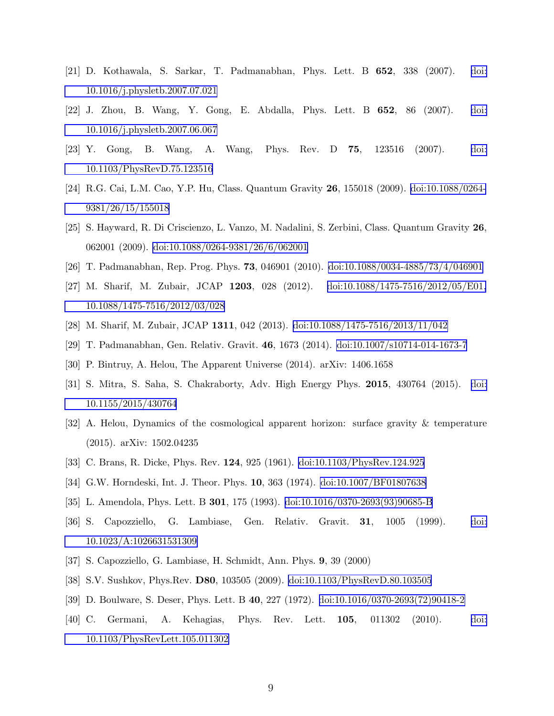- [21] D. Kothawala, S. Sarkar, T. Padmanabhan, Phys. Lett. B 652, 338 (2007). [doi:](http://dx.doi.org/10.1016/j.physletb.2007.07.021) [10.1016/j.physletb.2007.07.021](http://dx.doi.org/10.1016/j.physletb.2007.07.021)
- [22] J. Zhou, B. Wang, Y. Gong, E. Abdalla, Phys. Lett. B 652, 86 (2007). [doi:](http://dx.doi.org/10.1016/j.physletb.2007.06.067) [10.1016/j.physletb.2007.06.067](http://dx.doi.org/10.1016/j.physletb.2007.06.067)
- [23] Y. Gong, B. Wang, A. Wang, Phys. Rev. D 75, 123516 (2007). [doi:](http://dx.doi.org/10.1103/PhysRevD.75.123516) [10.1103/PhysRevD.75.123516](http://dx.doi.org/10.1103/PhysRevD.75.123516)
- [24] R.G. Cai, L.M. Cao, Y.P. Hu, Class. Quantum Gravity 26, 155018 (2009). [doi:10.1088/0264-](http://dx.doi.org/10.1088/0264-9381/26/15/155018) [9381/26/15/155018](http://dx.doi.org/10.1088/0264-9381/26/15/155018)
- [25] S. Hayward, R. Di Criscienzo, L. Vanzo, M. Nadalini, S. Zerbini, Class. Quantum Gravity 26, 062001 (2009). [doi:10.1088/0264-9381/26/6/062001](http://dx.doi.org/10.1088/0264-9381/26/6/062001)
- [26] T. Padmanabhan, Rep. Prog. Phys. 73, 046901 (2010). [doi:10.1088/0034-4885/73/4/046901](http://dx.doi.org/10.1088/0034-4885/73/4/046901)
- [27] M. Sharif, M. Zubair, JCAP 1203, 028 (2012). [doi:10.1088/1475-7516/2012/05/E01,](http://dx.doi.org/10.1088/1475-7516/2012/05/E01, 10.1088/1475-7516/2012/03/028) [10.1088/1475-7516/2012/03/028](http://dx.doi.org/10.1088/1475-7516/2012/05/E01, 10.1088/1475-7516/2012/03/028)
- [28] M. Sharif, M. Zubair, JCAP 1311, 042 (2013). [doi:10.1088/1475-7516/2013/11/042](http://dx.doi.org/10.1088/1475-7516/2013/11/042)
- [29] T. Padmanabhan, Gen. Relativ. Gravit. 46, 1673 (2014). [doi:10.1007/s10714-014-1673-7](http://dx.doi.org/10.1007/s10714-014-1673-7)
- [30] P. Bintruy, A. Helou, The Apparent Universe (2014). arXiv: 1406.1658
- [31] S. Mitra, S. Saha, S. Chakraborty, Adv. High Energy Phys. 2015, 430764 (2015). [doi:](http://dx.doi.org/10.1155/2015/430764) [10.1155/2015/430764](http://dx.doi.org/10.1155/2015/430764)
- <span id="page-8-0"></span>[32] A. Helou, Dynamics of the cosmological apparent horizon: surface gravity & temperature (2015). arXiv: 1502.04235
- <span id="page-8-1"></span>[33] C. Brans, R. Dicke, Phys. Rev. 124, 925 (1961). [doi:10.1103/PhysRev.124.925](http://dx.doi.org/10.1103/PhysRev.124.925)
- <span id="page-8-2"></span>[34] G.W. Horndeski, Int. J. Theor. Phys. 10, 363 (1974). [doi:10.1007/BF01807638](http://dx.doi.org/10.1007/BF01807638)
- [35] L. Amendola, Phys. Lett. B 301, 175 (1993). [doi:10.1016/0370-2693\(93\)90685-B](http://dx.doi.org/10.1016/0370-2693(93)90685-B)
- [36] S. Capozziello, G. Lambiase, Gen. Relativ. Gravit. 31, 1005 (1999). [doi:](http://dx.doi.org/10.1023/A:1026631531309) [10.1023/A:1026631531309](http://dx.doi.org/10.1023/A:1026631531309)
- <span id="page-8-3"></span>[37] S. Capozziello, G. Lambiase, H. Schmidt, Ann. Phys. 9, 39 (2000)
- <span id="page-8-4"></span>[38] S.V. Sushkov, Phys.Rev. D80, 103505 (2009). [doi:10.1103/PhysRevD.80.103505](http://dx.doi.org/10.1103/PhysRevD.80.103505)
- <span id="page-8-5"></span>[39] D. Boulware, S. Deser, Phys. Lett. B 40, 227 (1972). [doi:10.1016/0370-2693\(72\)90418-2](http://dx.doi.org/10.1016/0370-2693(72)90418-2)
- <span id="page-8-6"></span>[40] C. Germani, A. Kehagias, Phys. Rev. Lett. 105, 011302 (2010). [doi:](http://dx.doi.org/10.1103/PhysRevLett.105.011302) [10.1103/PhysRevLett.105.011302](http://dx.doi.org/10.1103/PhysRevLett.105.011302)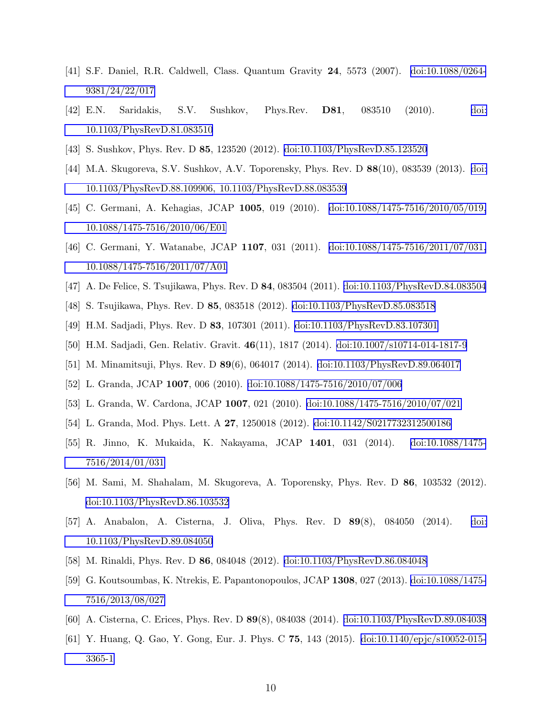- <span id="page-9-0"></span>[41] S.F. Daniel, R.R. Caldwell, Class. Quantum Gravity 24, 5573 (2007). [doi:10.1088/0264-](http://dx.doi.org/10.1088/0264-9381/24/22/017) [9381/24/22/017](http://dx.doi.org/10.1088/0264-9381/24/22/017)
- [42] E.N. Saridakis, S.V. Sushkov, Phys.Rev. D81, 083510 (2010). [doi:](http://dx.doi.org/10.1103/PhysRevD.81.083510) [10.1103/PhysRevD.81.083510](http://dx.doi.org/10.1103/PhysRevD.81.083510)
- [43] S. Sushkov, Phys. Rev. D 85, 123520 (2012). [doi:10.1103/PhysRevD.85.123520](http://dx.doi.org/10.1103/PhysRevD.85.123520)
- [44] M.A. Skugoreva, S.V. Sushkov, A.V. Toporensky, Phys. Rev. D 88(10), 083539 (2013). [doi:](http://dx.doi.org/10.1103/PhysRevD.88.109906, 10.1103/PhysRevD.88.083539) [10.1103/PhysRevD.88.109906, 10.1103/PhysRevD.88.083539](http://dx.doi.org/10.1103/PhysRevD.88.109906, 10.1103/PhysRevD.88.083539)
- [45] C. Germani, A. Kehagias, JCAP 1005, 019 (2010). [doi:10.1088/1475-7516/2010/05/019,](http://dx.doi.org/10.1088/1475-7516/2010/05/019, 10.1088/1475-7516/2010/06/E01) [10.1088/1475-7516/2010/06/E01](http://dx.doi.org/10.1088/1475-7516/2010/05/019, 10.1088/1475-7516/2010/06/E01)
- [46] C. Germani, Y. Watanabe, JCAP 1107, 031 (2011). [doi:10.1088/1475-7516/2011/07/031,](http://dx.doi.org/10.1088/1475-7516/2011/07/031, 10.1088/1475-7516/2011/07/A01) [10.1088/1475-7516/2011/07/A01](http://dx.doi.org/10.1088/1475-7516/2011/07/031, 10.1088/1475-7516/2011/07/A01)
- [47] A. De Felice, S. Tsujikawa, Phys. Rev. D 84, 083504 (2011). [doi:10.1103/PhysRevD.84.083504](http://dx.doi.org/10.1103/PhysRevD.84.083504)
- [48] S. Tsujikawa, Phys. Rev. D 85, 083518 (2012). [doi:10.1103/PhysRevD.85.083518](http://dx.doi.org/10.1103/PhysRevD.85.083518)
- [49] H.M. Sadjadi, Phys. Rev. D 83, 107301 (2011). [doi:10.1103/PhysRevD.83.107301](http://dx.doi.org/10.1103/PhysRevD.83.107301)
- [50] H.M. Sadjadi, Gen. Relativ. Gravit. 46(11), 1817 (2014). [doi:10.1007/s10714-014-1817-9](http://dx.doi.org/10.1007/s10714-014-1817-9)
- [51] M. Minamitsuji, Phys. Rev. D 89(6), 064017 (2014). [doi:10.1103/PhysRevD.89.064017](http://dx.doi.org/10.1103/PhysRevD.89.064017)
- [52] L. Granda, JCAP 1007, 006 (2010). [doi:10.1088/1475-7516/2010/07/006](http://dx.doi.org/10.1088/1475-7516/2010/07/006)
- [53] L. Granda, W. Cardona, JCAP 1007, 021 (2010). [doi:10.1088/1475-7516/2010/07/021](http://dx.doi.org/10.1088/1475-7516/2010/07/021)
- [54] L. Granda, Mod. Phys. Lett. A 27, 1250018 (2012). [doi:10.1142/S0217732312500186](http://dx.doi.org/10.1142/S0217732312500186)
- [55] R. Jinno, K. Mukaida, K. Nakayama, JCAP 1401, 031 (2014). [doi:10.1088/1475-](http://dx.doi.org/10.1088/1475-7516/2014/01/031) [7516/2014/01/031](http://dx.doi.org/10.1088/1475-7516/2014/01/031)
- [56] M. Sami, M. Shahalam, M. Skugoreva, A. Toporensky, Phys. Rev. D 86, 103532 (2012). [doi:10.1103/PhysRevD.86.103532](http://dx.doi.org/10.1103/PhysRevD.86.103532)
- [57] A. Anabalon, A. Cisterna, J. Oliva, Phys. Rev. D 89(8), 084050 (2014). [doi:](http://dx.doi.org/10.1103/PhysRevD.89.084050) [10.1103/PhysRevD.89.084050](http://dx.doi.org/10.1103/PhysRevD.89.084050)
- [58] M. Rinaldi, Phys. Rev. D 86, 084048 (2012). [doi:10.1103/PhysRevD.86.084048](http://dx.doi.org/10.1103/PhysRevD.86.084048)
- [59] G. Koutsoumbas, K. Ntrekis, E. Papantonopoulos, JCAP 1308, 027 (2013). [doi:10.1088/1475-](http://dx.doi.org/10.1088/1475-7516/2013/08/027) [7516/2013/08/027](http://dx.doi.org/10.1088/1475-7516/2013/08/027)
- [60] A. Cisterna, C. Erices, Phys. Rev. D 89(8), 084038 (2014). [doi:10.1103/PhysRevD.89.084038](http://dx.doi.org/10.1103/PhysRevD.89.084038)
- [61] Y. Huang, Q. Gao, Y. Gong, Eur. J. Phys. C 75, 143 (2015). [doi:10.1140/epjc/s10052-015-](http://dx.doi.org/10.1140/epjc/s10052-015-3365-1) [3365-1](http://dx.doi.org/10.1140/epjc/s10052-015-3365-1)